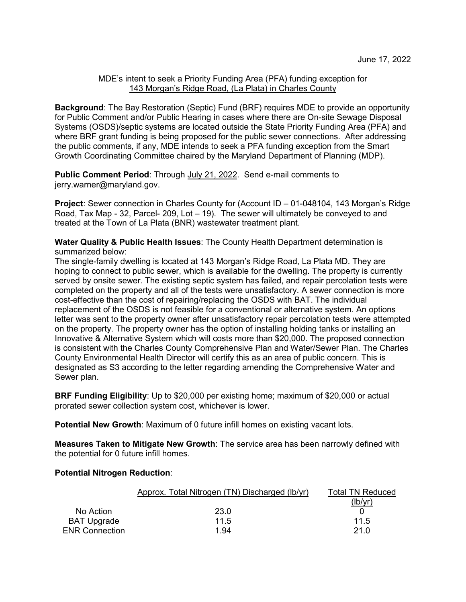## MDE's intent to seek a Priority Funding Area (PFA) funding exception for 143 Morgan's Ridge Road, (La Plata) in Charles County

**Background**: The Bay Restoration (Septic) Fund (BRF) requires MDE to provide an opportunity for Public Comment and/or Public Hearing in cases where there are On-site Sewage Disposal Systems (OSDS)/septic systems are located outside the State Priority Funding Area (PFA) and where BRF grant funding is being proposed for the public sewer connections. After addressing the public comments, if any, MDE intends to seek a PFA funding exception from the Smart Growth Coordinating Committee chaired by the Maryland Department of Planning (MDP).

**Public Comment Period:** Through July 21, 2022. Send e-mail comments to jerry.warner@maryland.gov.

**Project:** Sewer connection in Charles County for (Account ID – 01-048104, 143 Morgan's Ridge Road, Tax Map - 32, Parcel- 209, Lot – 19). The sewer will ultimately be conveyed to and treated at the Town of La Plata (BNR) wastewater treatment plant.

**Water Quality & Public Health Issues**: The County Health Department determination is summarized below:

The single-family dwelling is located at 143 Morgan's Ridge Road, La Plata MD. They are hoping to connect to public sewer, which is available for the dwelling. The property is currently served by onsite sewer. The existing septic system has failed, and repair percolation tests were completed on the property and all of the tests were unsatisfactory. A sewer connection is more cost-effective than the cost of repairing/replacing the OSDS with BAT. The individual replacement of the OSDS is not feasible for a conventional or alternative system. An options letter was sent to the property owner after unsatisfactory repair percolation tests were attempted on the property. The property owner has the option of installing holding tanks or installing an Innovative & Alternative System which will costs more than \$20,000. The proposed connection is consistent with the Charles County Comprehensive Plan and Water/Sewer Plan. The Charles County Environmental Health Director will certify this as an area of public concern. This is designated as S3 according to the letter regarding amending the Comprehensive Water and Sewer plan.

**BRF Funding Eligibility**: Up to \$20,000 per existing home; maximum of \$20,000 or actual prorated sewer collection system cost, whichever is lower.

**Potential New Growth**: Maximum of 0 future infill homes on existing vacant lots.

**Measures Taken to Mitigate New Growth**: The service area has been narrowly defined with the potential for 0 future infill homes.

## **Potential Nitrogen Reduction**:

| Approx. Total Nitrogen (TN) Discharged (Ib/yr) | Total TN Reduced |
|------------------------------------------------|------------------|
|                                                | (lb/yr)          |
| 23.0<br>No Action                              |                  |
| 11.5<br>BAT Upgrade                            | 11.5             |
| <b>ENR Connection</b><br>1.94                  | 21.0             |